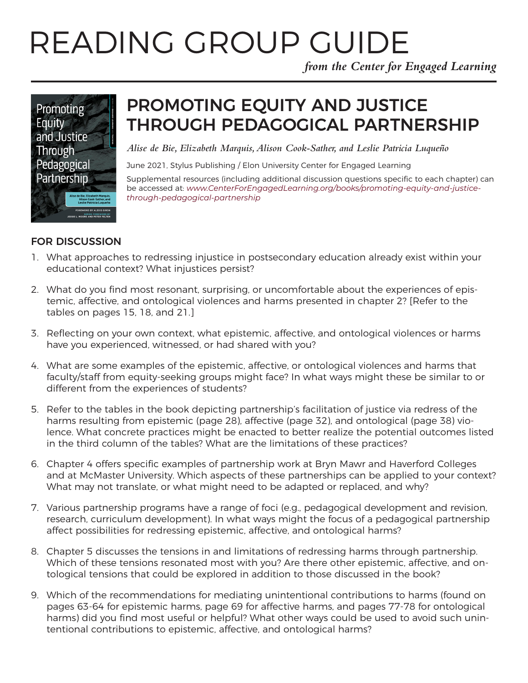# READING GROUP GUIDE

*from the Center for Engaged Learning*



# PROMOTING EQUITY AND JUSTICE THROUGH PEDAGOGICAL PARTNERSHIP

*Alise de Bie, Elizabeth Marquis, Alison Cook-Sather, and Leslie Patricia Luqueño*

June 2021, Stylus Publishing / Elon University Center for Engaged Learning

Supplemental resources (including additional discussion questions specific to each chapter) can be accessed at: *[www.CenterForEngagedLearning.org/books/promoting-equity-and-justice](https://www.centerforengagedlearning.org/books/promoting-equity-and-justice-through-pedagogical-partnership/)[through-pedagogical-partnership](https://www.centerforengagedlearning.org/books/promoting-equity-and-justice-through-pedagogical-partnership/)*

#### FOR DISCUSSION

- 1. What approaches to redressing injustice in postsecondary education already exist within your educational context? What injustices persist?
- 2. What do you find most resonant, surprising, or uncomfortable about the experiences of epistemic, affective, and ontological violences and harms presented in chapter 2? [Refer to the tables on pages 15, 18, and 21.]
- 3. Reflecting on your own context, what epistemic, affective, and ontological violences or harms have you experienced, witnessed, or had shared with you?
- 4. What are some examples of the epistemic, affective, or ontological violences and harms that faculty/staff from equity-seeking groups might face? In what ways might these be similar to or different from the experiences of students?
- 5. Refer to the tables in the book depicting partnership's facilitation of justice via redress of the harms resulting from epistemic (page 28), affective (page 32), and ontological (page 38) violence. What concrete practices might be enacted to better realize the potential outcomes listed in the third column of the tables? What are the limitations of these practices?
- 6. Chapter 4 offers specific examples of partnership work at Bryn Mawr and Haverford Colleges and at McMaster University. Which aspects of these partnerships can be applied to your context? What may not translate, or what might need to be adapted or replaced, and why?
- 7. Various partnership programs have a range of foci (e.g., pedagogical development and revision, research, curriculum development). In what ways might the focus of a pedagogical partnership affect possibilities for redressing epistemic, affective, and ontological harms?
- 8. Chapter 5 discusses the tensions in and limitations of redressing harms through partnership. Which of these tensions resonated most with you? Are there other epistemic, affective, and ontological tensions that could be explored in addition to those discussed in the book?
- 9. Which of the recommendations for mediating unintentional contributions to harms (found on pages 63-64 for epistemic harms, page 69 for affective harms, and pages 77-78 for ontological harms) did you find most useful or helpful? What other ways could be used to avoid such unintentional contributions to epistemic, affective, and ontological harms?